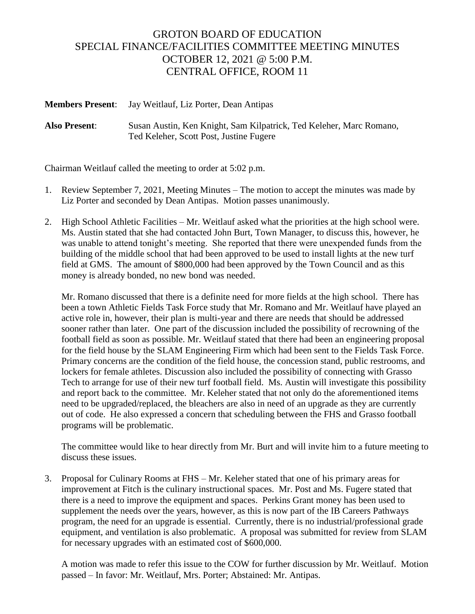## GROTON BOARD OF EDUCATION SPECIAL FINANCE/FACILITIES COMMITTEE MEETING MINUTES OCTOBER 12, 2021 @ 5:00 P.M. CENTRAL OFFICE, ROOM 11

**Members Present**: Jay Weitlauf, Liz Porter, Dean Antipas

**Also Present**: Susan Austin, Ken Knight, Sam Kilpatrick, Ted Keleher, Marc Romano, Ted Keleher, Scott Post, Justine Fugere

Chairman Weitlauf called the meeting to order at 5:02 p.m.

- 1. Review September 7, 2021, Meeting Minutes The motion to accept the minutes was made by Liz Porter and seconded by Dean Antipas. Motion passes unanimously.
- 2. High School Athletic Facilities Mr. Weitlauf asked what the priorities at the high school were. Ms. Austin stated that she had contacted John Burt, Town Manager, to discuss this, however, he was unable to attend tonight's meeting. She reported that there were unexpended funds from the building of the middle school that had been approved to be used to install lights at the new turf field at GMS. The amount of \$800,000 had been approved by the Town Council and as this money is already bonded, no new bond was needed.

Mr. Romano discussed that there is a definite need for more fields at the high school. There has been a town Athletic Fields Task Force study that Mr. Romano and Mr. Weitlauf have played an active role in, however, their plan is multi-year and there are needs that should be addressed sooner rather than later. One part of the discussion included the possibility of recrowning of the football field as soon as possible. Mr. Weitlauf stated that there had been an engineering proposal for the field house by the SLAM Engineering Firm which had been sent to the Fields Task Force. Primary concerns are the condition of the field house, the concession stand, public restrooms, and lockers for female athletes. Discussion also included the possibility of connecting with Grasso Tech to arrange for use of their new turf football field. Ms. Austin will investigate this possibility and report back to the committee. Mr. Keleher stated that not only do the aforementioned items need to be upgraded/replaced, the bleachers are also in need of an upgrade as they are currently out of code. He also expressed a concern that scheduling between the FHS and Grasso football programs will be problematic.

The committee would like to hear directly from Mr. Burt and will invite him to a future meeting to discuss these issues.

3. Proposal for Culinary Rooms at FHS – Mr. Keleher stated that one of his primary areas for improvement at Fitch is the culinary instructional spaces. Mr. Post and Ms. Fugere stated that there is a need to improve the equipment and spaces. Perkins Grant money has been used to supplement the needs over the years, however, as this is now part of the IB Careers Pathways program, the need for an upgrade is essential. Currently, there is no industrial/professional grade equipment, and ventilation is also problematic. A proposal was submitted for review from SLAM for necessary upgrades with an estimated cost of \$600,000.

A motion was made to refer this issue to the COW for further discussion by Mr. Weitlauf. Motion passed – In favor: Mr. Weitlauf, Mrs. Porter; Abstained: Mr. Antipas.